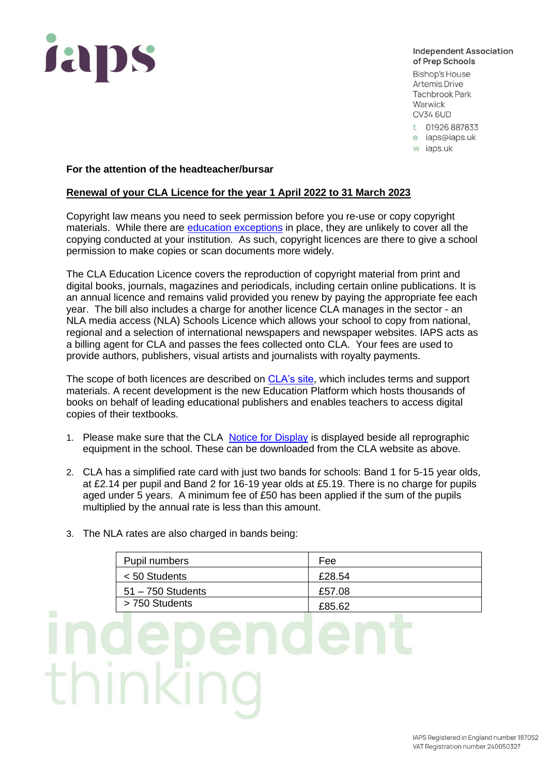

**Independent Association** of Prep Schools

**Bishop's House Artemis Drive Tachbrook Park** Warwick **CV34 6UD** 

- t 01926 887833
- e iaps@iaps.uk
- w iaps.uk

## **For the attention of the headteacher/bursar**

## **Renewal of your CLA Licence for the year 1 April 2022 to 31 March 2023**

Copyright law means you need to seek permission before you re-use or copy copyright materials. While there are [education exceptions](https://www.gov.uk/guidance/exceptions-to-copyright#teaching) in place, they are unlikely to cover all the copying conducted at your institution. As such, copyright licences are there to give a school permission to make copies or scan documents more widely.

The CLA Education Licence covers the reproduction of copyright material from print and digital books, journals, magazines and periodicals, including certain online publications. It is an annual licence and remains valid provided you renew by paying the appropriate fee each year. The bill also includes a charge for another licence CLA manages in the sector - an NLA media access (NLA) Schools Licence which allows your school to copy from national, regional and a selection of international newspapers and newspaper websites. IAPS acts as a billing agent for CLA and passes the fees collected onto CLA. Your fees are used to provide authors, publishers, visual artists and journalists with royalty payments.

The scope of both licences are described on [CLA's site,](https://cla.co.uk/) which includes terms and support materials. A recent development is the new Education Platform which hosts thousands of books on behalf of leading educational publishers and enables teachers to access digital copies of their textbooks.

- 1. Please make sure that the CLA [Notice for Display](https://www.cla.co.uk/sites/default/files/CLA-copying-guidelines-poster.pdf) is displayed beside all reprographic equipment in the school. These can be downloaded from the CLA website as above.
- 2. CLA has a simplified rate card with just two bands for schools: Band 1 for 5-15 year olds, at £2.14 per pupil and Band 2 for 16-19 year olds at £5.19. There is no charge for pupils aged under 5 years. A minimum fee of £50 has been applied if the sum of the pupils multiplied by the annual rate is less than this amount.
- 3. The NLA rates are also charged in bands being:

| Pupil numbers       | Fee    |
|---------------------|--------|
| $< 50$ Students     | £28.54 |
| $51 - 750$ Students | £57.08 |
| > 750 Students      | £85.62 |